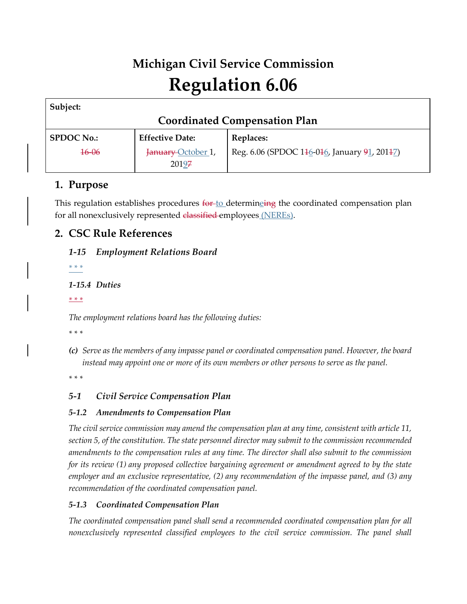# **Michigan Civil Service Commission Regulation 6.06**

| Subject:                             |                        |                                              |
|--------------------------------------|------------------------|----------------------------------------------|
| <b>Coordinated Compensation Plan</b> |                        |                                              |
| <b>SPDOC No.:</b>                    | <b>Effective Date:</b> | <b>Replaces:</b>                             |
| $16 - 06$                            | January October 1,     | Reg. 6.06 (SPDOC 146-046, January 91, 20147) |
|                                      | 20197                  |                                              |

# **1. Purpose**

This regulation establishes procedures  $f^{\text{opt}}$  determinging the coordinated compensation plan for all nonexclusively represented classified employees (NEREs).

# **2. CSC Rule References**

#### *1-15 Employment Relations Board*

*\* \* \** 

#### *1-15.4 Duties*

*\* \* \** 

*The employment relations board has the following duties:* 

*\* \* \** 

*(c) Serve as the members of any impasse panel or coordinated compensation panel. However, the board instead may appoint one or more of its own members or other persons to serve as the panel.*

*\* \* \** 

# *5-1 Civil Service Compensation Plan*

## *5-1.2 Amendments to Compensation Plan*

*The civil service commission may amend the compensation plan at any time, consistent with article 11, section 5, of the constitution. The state personnel director may submit to the commission recommended amendments to the compensation rules at any time. The director shall also submit to the commission for its review (1) any proposed collective bargaining agreement or amendment agreed to by the state employer and an exclusive representative, (2) any recommendation of the impasse panel, and (3) any recommendation of the coordinated compensation panel.*

## *5-1.3 Coordinated Compensation Plan*

*The coordinated compensation panel shall send a recommended coordinated compensation plan for all nonexclusively represented classified employees to the civil service commission. The panel shall*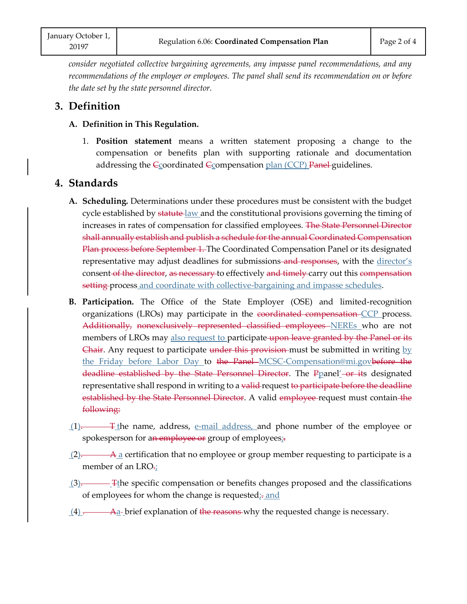*consider negotiated collective bargaining agreements, any impasse panel recommendations, and any recommendations of the employer or employees. The panel shall send its recommendation on or before the date set by the state personnel director.*

# **3. Definition**

- **A. Definition in This Regulation.**
	- 1. **Position statement** means a written statement proposing a change to the compensation or benefits plan with supporting rationale and documentation addressing the Ccoordinated Ccompensation plan (CCP) Panel guidelines.

# **4. Standards**

- **A. Scheduling.** Determinations under these procedures must be consistent with the budget cycle established by statute law and the constitutional provisions governing the timing of increases in rates of compensation for classified employees. The State Personnel Director shall annually establish and publish a schedule for the annual Coordinated Compensation Plan process before September 1. The Coordinated Compensation Panel or its designated representative may adjust deadlines for submissions-and responses, with the director's consent of the director, as necessary to effectively and timely carry out this compensation setting process and coordinate with collective-bargaining and impasse schedules.
- **B. Participation.** The Office of the State Employer (OSE) and limited-recognition organizations (LROs) may participate in the coordinated compensation CCP process. Additionally, nonexclusively represented classified employees NEREs who are not members of LROs may also request to participate upon leave granted by the Panel or its Chair. Any request to participate under this provision-must be submitted in writing by the Friday before Labor Day to the Panel–[MCSC-Compensation@mi.govb](mailto:MCSC-Compensation@mi.gov)efore the deadline established by the State Personnel Director. The Ppanel'-or its designated representative shall respond in writing to a valid-request to participate before the deadline established by the State Personnel Director. A valid employee-request must contain-the following:
- $(1)$ . The name, address, e-mail address, and phone number of the employee or spokesperson for an employee or group of employees;-
- $(2)$ . A a certification that no employee or group member requesting to participate is a member of an LRO.;
- $(3)$ . The specific compensation or benefits changes proposed and the classifications of employees for whom the change is requested<sub> $\bar{x}$ </sub> and
- $(4)$ . A<sub>a</sub>-brief explanation of the reasons why the requested change is necessary.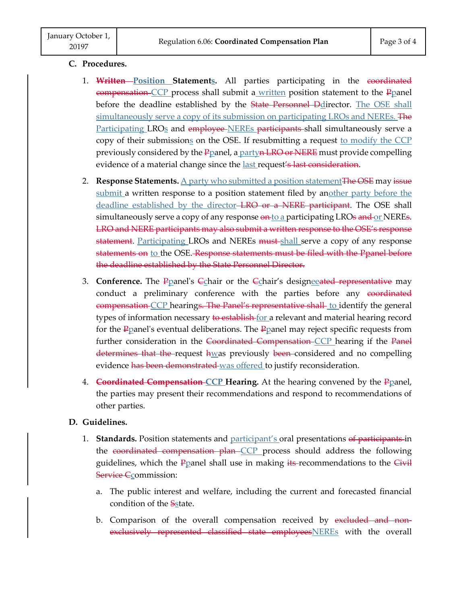#### **C. Procedures.**

- 1. **Written Position Statements.** All parties participating in the coordinated compensation CCP process shall submit a written position statement to the Ppanel before the deadline established by the State Personnel Ddirector. The OSE shall simultaneously serve a copy of its submission on participating LROs and NEREs. The Participating LRO<sub>S</sub> and employee-NEREs participants shall simultaneously serve a copy of their submissions on the OSE. If resubmitting a request to modify the  $CCP$ previously considered by the P<sub>D</sub>anel, a partyn LRO or NERE must provide compelling evidence of a material change since the last request's last consideration.
- 2. **Response Statements.** A party who submitted a position statement The OSE may issue submit a written response to a position statement filed by another party before the deadline established by the director-LRO or a NERE participant. The OSE shall simultaneously serve a copy of any response on to a participating LROs and or NEREs. LRO and NERE participants may also submit a written response to the OSE's response statement. Participating LROs and NEREs must-shall serve a copy of any response statements on to the OSE. Response statements must be filed with the Ppanel before the deadline established by the State Personnel Director.
- 3. **Conference.** The Ppanel's Cchair or the Cchair's designeeated representative may conduct a preliminary conference with the parties before any coordinated compensation CCP hearings. The Panel's representative shall to identify the general types of information necessary to establish for a relevant and material hearing record for the  $P$  panel's eventual deliberations. The  $P$  panel may reject specific requests from further consideration in the Coordinated Compensation CCP hearing if the Panel determines that the request hwas previously been considered and no compelling evidence has been demonstrated was offered to justify reconsideration.
- 4. **Coordinated Compensation CCP Hearing.** At the hearing convened by the Ppanel, the parties may present their recommendations and respond to recommendations of other parties.

#### **D. Guidelines.**

- 1. **Standards.** Position statements and participant's oral presentations of participants in the coordinated compensation plan CCP process should address the following guidelines, which the Ppanel shall use in making its-recommendations to the Civil Service Ccommission:
	- a. The public interest and welfare, including the current and forecasted financial condition of the Sstate.
	- b. Comparison of the overall compensation received by excluded and nonexclusively represented classified state employees NEREs with the overall